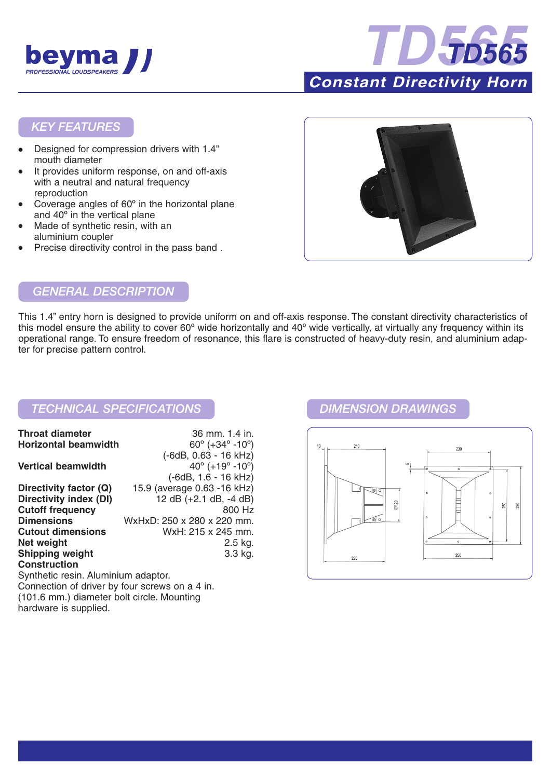



## *KEY FEATURES*

- Designed for compression drivers with 1.4" mouth diameter
- It provides uniform response, on and off-axis with a neutral and natural frequency reproduction
- Coverage angles of  $60^\circ$  in the horizontal plane and 40º in the vertical plane
- Made of synthetic resin, with an aluminium coupler
- Precise directivity control in the pass band .



# *GENERAL DESCRIPTION*

This 1.4" entry horn is designed to provide uniform on and off-axis response. The constant directivity characteristics of this model ensure the ability to cover 60° wide horizontally and 40° wide vertically, at virtually any frequency within its operational range. To ensure freedom of resonance, this flare is constructed of heavy-duty resin, and aluminium adapter for precise pattern control.

## *TECHNICAL SPECIFICATIONS DIMENSION DRAWINGS*

| <b>Throat diameter</b>              | 36 mm. 1.4 in.                                |
|-------------------------------------|-----------------------------------------------|
| <b>Horizontal beamwidth</b>         | $60^{\circ}$ (+34 $^{\circ}$ -10 $^{\circ}$ ) |
|                                     | (-6dB, 0.63 - 16 kHz)                         |
| <b>Vertical beamwidth</b>           | $40^{\circ}$ (+19 $^{\circ}$ -10 $^{\circ}$ ) |
|                                     | (-6dB, 1.6 - 16 kHz)                          |
| Directivity factor (Q)              | 15.9 (average 0.63 -16 kHz)                   |
| <b>Directivity index (DI)</b>       | 12 dB (+2.1 dB, -4 dB)                        |
| <b>Cutoff frequency</b>             | 800 Hz                                        |
| <b>Dimensions</b>                   | WxHxD: 250 x 280 x 220 mm.                    |
| <b>Cutout dimensions</b>            | WxH: 215 x 245 mm.                            |
| Net weight                          | 2.5 kg.                                       |
| <b>Shipping weight</b>              | 3.3 kg.                                       |
| <b>Construction</b>                 |                                               |
| Synthetic resin. Aluminium adaptor. |                                               |

Connection of driver by four screws on a 4 in. (101.6 mm.) diameter bolt circle. Mounting hardware is supplied.